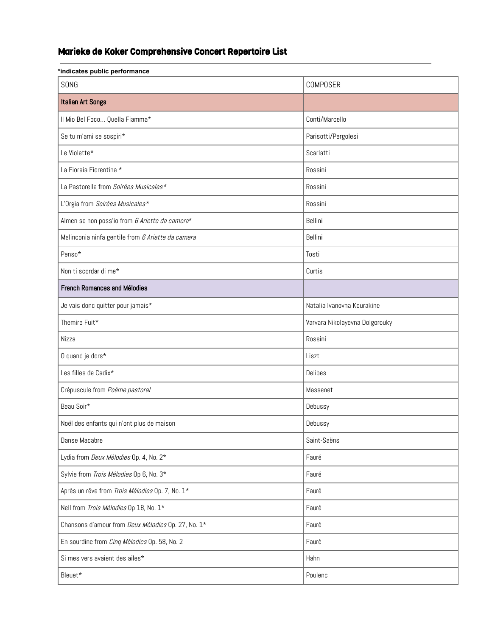## Marieke de Koker Comprehensive Concert Repertoire List

| *indicates public performance                      |                                |  |
|----------------------------------------------------|--------------------------------|--|
| SONG                                               | <b>COMPOSER</b>                |  |
| <b>Italian Art Songs</b>                           |                                |  |
| Il Mio Bel Foco Quella Fiamma*                     | Conti/Marcello                 |  |
| Se tu m'ami se sospiri*                            | Parisotti/Pergolesi            |  |
| Le Violette*                                       | Scarlatti                      |  |
| La Fioraia Fiorentina *                            | Rossini                        |  |
| La Pastorella from Soirées Musicales*              | Rossini                        |  |
| L'Orgia from Soirées Musicales*                    | Rossini                        |  |
| Almen se non poss'io from 6 Ariette da camera*     | Bellini                        |  |
| Malinconia ninfa gentile from 6 Ariette da camera  | Bellini                        |  |
| Penso*                                             | Tosti                          |  |
| Non ti scordar di me*                              | Curtis                         |  |
| <b>French Romances and Mélodies</b>                |                                |  |
| Je vais donc quitter pour jamais*                  | Natalia Ivanovna Kourakine     |  |
| Themire Fuit*                                      | Varvara Nikolayevna Dolgorouky |  |
| Nizza                                              | Rossini                        |  |
| 0 quand je dors*                                   | Liszt                          |  |
| Les filles de Cadix*                               | Delibes                        |  |
| Crépuscule from Poème pastoral                     | Massenet                       |  |
| Beau Soir*                                         | Debussy                        |  |
| Noël des enfants qui n'ont plus de maison          | Debussy                        |  |
| Danse Macabre                                      | Saint-Saëns                    |  |
| Lydia from Deux Mélodies Op. 4, No. 2*             | Fauré                          |  |
| Sylvie from Trois Mélodies Op 6, No. 3*            | Fauré                          |  |
| Après un rêve from Trois Mélodies Op. 7, No. 1*    | Fauré                          |  |
| Nell from Trois Mélodies Op 18, No. 1*             | Fauré                          |  |
| Chansons d'amour from Deux Mélodies Op. 27, No. 1* | Fauré                          |  |
| En sourdine from Cinq Mélodies Op. 58, No. 2       | Fauré                          |  |
| Si mes vers avaient des ailes*                     | Hahn                           |  |
| Bleuet*                                            | Poulenc                        |  |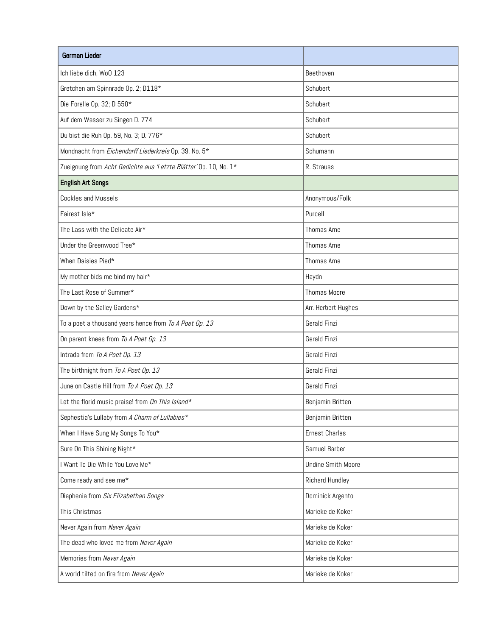| German Lieder                                                    |                           |
|------------------------------------------------------------------|---------------------------|
| Ich liebe dich, WoO 123                                          | Beethoven                 |
| Gretchen am Spinnrade Op. 2; D118*                               | Schubert                  |
| Die Forelle Op. 32; D 550*                                       | Schubert                  |
| Auf dem Wasser zu Singen D. 774                                  | Schubert                  |
| Du bist die Ruh Op. 59, No. 3; D. 776*                           | Schubert                  |
| Mondnacht from Eichendorff Liederkreis Op. 39, No. 5*            | Schumann                  |
| Zueignung from Acht Gedichte aus 'Letzte Blätter' Op. 10, No. 1* | R. Strauss                |
| <b>English Art Songs</b>                                         |                           |
| Cockles and Mussels                                              | Anonymous/Folk            |
| Fairest Isle*                                                    | Purcell                   |
| The Lass with the Delicate Air*                                  | Thomas Arne               |
| Under the Greenwood Tree*                                        | Thomas Arne               |
| When Daisies Pied*                                               | Thomas Arne               |
| My mother bids me bind my hair*                                  | Haydn                     |
| The Last Rose of Summer*                                         | Thomas Moore              |
| Down by the Salley Gardens*                                      | Arr. Herbert Hughes       |
| To a poet a thousand years hence from To A Poet Op. 13           | Gerald Finzi              |
| On parent knees from To A Poet Op. 13                            | Gerald Finzi              |
| Intrada from To A Poet Op. 13                                    | Gerald Finzi              |
| The birthnight from To A Poet Op. 13                             | Gerald Finzi              |
| June on Castle Hill from To A Poet Op. 13                        | Gerald Finzi              |
| Let the florid music praise! from On This Island*                | Benjamin Britten          |
| Sephestia's Lullaby from A Charm of Lullabies*                   | Benjamin Britten          |
| When I Have Sung My Songs To You*                                | <b>Ernest Charles</b>     |
| Sure On This Shining Night*                                      | Samuel Barber             |
| I Want To Die While You Love Me*                                 | <b>Undine Smith Moore</b> |
| Come ready and see me*                                           | Richard Hundley           |
| Diaphenia from Six Elizabethan Songs                             | Dominick Argento          |
| This Christmas                                                   | Marieke de Koker          |
| Never Again from Never Again                                     | Marieke de Koker          |
| The dead who loved me from Never Again                           | Marieke de Koker          |
| Memories from Never Again                                        | Marieke de Koker          |
| A world tilted on fire from Never Again                          | Marieke de Koker          |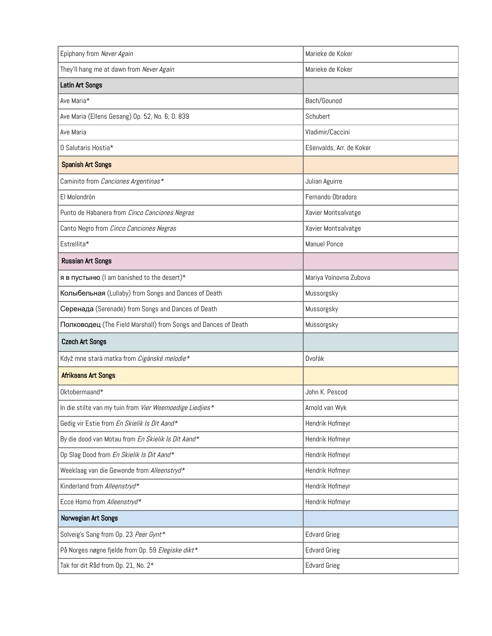| Epiphany from Never Again                                      | Marieke de Koker         |
|----------------------------------------------------------------|--------------------------|
| They'll hang me at dawn from Never Again                       | Marieke de Koker         |
| Latin Art Songs                                                |                          |
| Ave Maria*                                                     | Bach/Gounod              |
| Ave Maria (Ellens Gesang) Op. 52, No. 6; D. 839                | Schubert                 |
| Ave Maria                                                      | Vladimir/Caccini         |
| 0 Salutaris Hostia*                                            | Ešenvalds, Arr. de Koker |
| <b>Spanish Art Songs</b>                                       |                          |
| Caminito from Canciones Argentinas*                            | Julian Aguirre           |
| El Molondrón                                                   | Fernando Obradors        |
| Punto de Habanera from Cinco Canciones Negras                  | Xavier Montsalvatge      |
| Canto Negro from Cinco Canciones Negras                        | Xavier Montsalvatge      |
| Estrellita*                                                    | <b>Manuel Ponce</b>      |
| <b>Russian Art Songs</b>                                       |                          |
| я в пустыню (I am banished to the desert)*                     | Mariya Voinovna Zubova   |
| Колыбельная (Lullaby) from Songs and Dances of Death           | Mussorgsky               |
| Серенада (Serenade) from Songs and Dances of Death             | Mussorgsky               |
| Полководец (The Field Marshall) from Songs and Dances of Death | Mussorgsky               |
| <b>Czech Art Songs</b>                                         |                          |
| Když mne stará matka from Cigánské melodie*                    | Dvořák                   |
| <b>Afrikaans Art Songs</b>                                     |                          |
| Oktobermaand*                                                  | John K. Pescod           |
| In die stilte van my tuin from Vier Weemoedige Liedjies*       | Arnold van Wyk           |
| Gedig vir Estie from En Skielik Is Dit Aand*                   | Hendrik Hofmeyr          |
| By die dood van Motau from En Skielik Is Dit Aand*             | Hendrik Hofmeyr          |
| Op Slag Dood from En Skielik Is Dit Aand*                      | Hendrik Hofmeyr          |
| Weeklaag van die Gewonde from Alleenstryd*                     | Hendrik Hofmeyr          |
| Kinderland from Alleenstryd*                                   | Hendrik Hofmeyr          |
| Ecce Homo from Alleenstryd*                                    | Hendrik Hofmeyr          |
| Norwegian Art Songs                                            |                          |
| Solveig's Sang from Op. 23 Peer Gynt*                          | <b>Edvard Grieg</b>      |
| På Norges nøgne fjelde from Op. 59 Elegiske dikt*              | <b>Edvard Grieg</b>      |
| Tak for dit Råd from Op. 21, No. 2*                            | <b>Edvard Grieg</b>      |